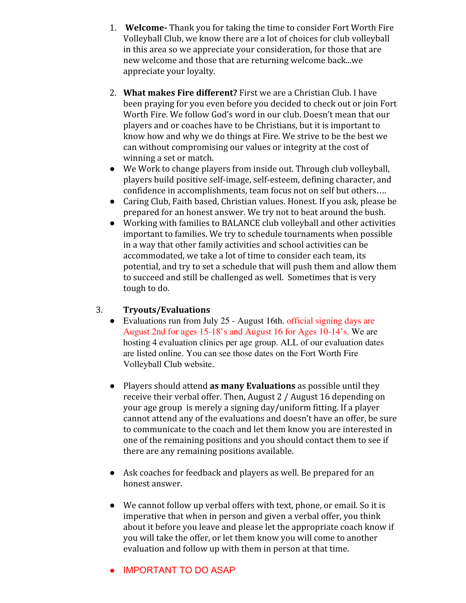- 1. **Welcome-** Thank you for taking the time to consider Fort Worth Fire Volleyball Club, we know there are a lot of choices for club volleyball in this area so we appreciate your consideration, for those that are new welcome and those that are returning welcome back...we appreciate your loyalty.
- 2. **What makes Fire different?** First we are a Christian Club. I have been praying for you even before you decided to check out or join Fort Worth Fire. We follow God's word in our club. Doesn't mean that our players and or coaches have to be Christians, but it is important to know how and why we do things at Fire. We strive to be the best we can without compromising our values or integrity at the cost of winning a set or match.
- We Work to change players from inside out. Through club volleyball, players build positive self-image, self-esteem, defining character, and confidence in accomplishments, team focus not on self but others….
- Caring Club, Faith based, Christian values. Honest. If you ask, please be prepared for an honest answer. We try not to beat around the bush.
- Working with families to BALANCE club volleyball and other activities important to families. We try to schedule tournaments when possible in a way that other family activities and school activities can be accommodated, we take a lot of time to consider each team, its potential, and try to set a schedule that will push them and allow them to succeed and still be challenged as well. Sometimes that is very tough to do.

## 3. **Tryouts/Evaluations**

- Evaluations run from July 25 August 16th. official signing days are August 2nd for ages 15-18's and August 16 for Ages 10-14's. We are hosting 4 evaluation clinics per age group. ALL of our evaluation dates are listed online. You can see those dates on the Fort Worth Fire Volleyball Club website.
- Players should attend **as many Evaluations** as possible until they receive their verbal offer. Then, August 2 / August 16 depending on your age group is merely a signing day/uniform fitting. If a player cannot attend any of the evaluations and doesn't have an offer, be sure to communicate to the coach and let them know you are interested in one of the remaining positions and you should contact them to see if there are any remaining positions available.
- Ask coaches for feedback and players as well. Be prepared for an honest answer.
- We cannot follow up verbal offers with text, phone, or email. So it is imperative that when in person and given a verbal offer, you think about it before you leave and please let the appropriate coach know if you will take the offer, or let them know you will come to another evaluation and follow up with them in person at that time.

# ● IMPORTANT TO DO ASAP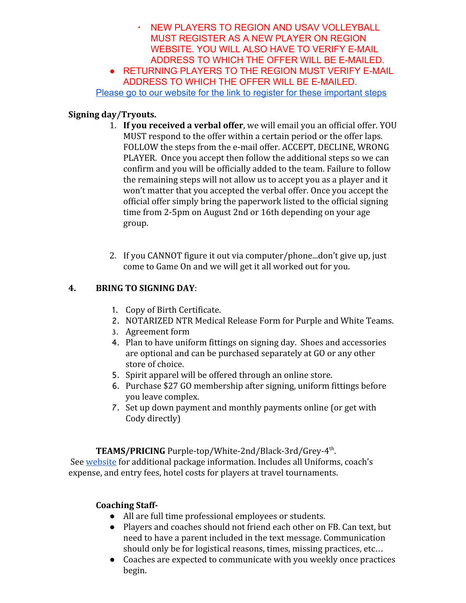- NEW PLAYERS TO REGION AND USAV VOLLEYBALL MUST REGISTER AS A NEW PLAYER ON REGION WEBSITE. YOU WILL ALSO HAVE TO VERIFY E-MAIL ADDRESS TO WHICH THE OFFER WILL BE E-MAILED. ● RETURNING PLAYERS TO THE REGION MUST VERIFY E-MAIL
- ADDRESS TO WHICH THE OFFER WILL BE E-MAILED.

[Please go to our website for the link to register for these important steps](https://ntr.vstarvolleyball.com/ocs/index.php)

## **Signing day/Tryouts.**

- 1. **If you received a verbal offer**, we will email you an official offer. YOU MUST respond to the offer within a certain period or the offer laps. FOLLOW the steps from the e-mail offer. ACCEPT, DECLINE, WRONG PLAYER. Once you accept then follow the additional steps so we can confirm and you will be officially added to the team. Failure to follow the remaining steps will not allow us to accept you as a player and it won't matter that you accepted the verbal offer. Once you accept the official offer simply bring the paperwork listed to the official signing time from 2-5pm on August 2nd or 16th depending on your age group.
- 2. If you CANNOT figure it out via computer/phone...don't give up, just come to Game On and we will get it all worked out for you.

# **4. BRING TO SIGNING DAY**:

- 1. Copy of Birth Certificate.
- 2. NOTARIZED NTR Medical Release Form for Purple and White Teams.
- 3. Agreement form
- 4. Plan to have uniform fittings on signing day. Shoes and accessories are optional and can be purchased separately at GO or any other store of choice.
- 5. Spirit apparel will be offered through an online store.
- 6. Purchase \$27 GO membership after signing, uniform fittings before you leave complex.
- 7. Set up down payment and monthly payments online (or get with Cody directly)

**TEAMS/PRICING** Purple-top/White-2nd/Black-3rd/Grey-4th . See [website](http://www.fortworthfirevolleyball.com/club-teams-and-fees.html) for additional package information. Includes all Uniforms, coach's expense, and entry fees, hotel costs for players at travel tournaments.

## **Coaching Staff-**

- All are full time professional employees or students.
- Players and coaches should not friend each other on FB. Can text, but need to have a parent included in the text message. Communication should only be for logistical reasons, times, missing practices, etc…
- Coaches are expected to communicate with you weekly once practices begin.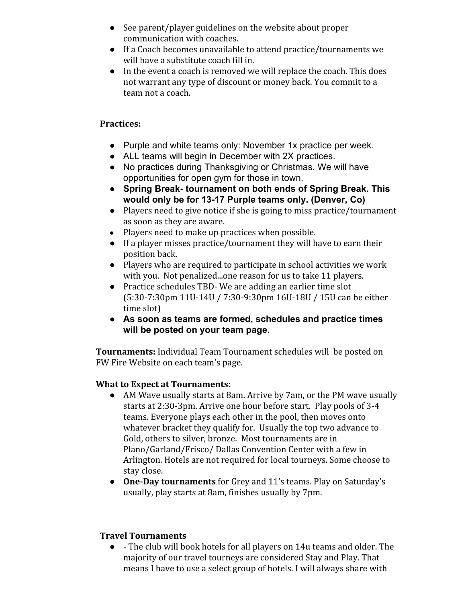- See parent/player guidelines on the website about proper communication with coaches.
- If a Coach becomes unavailable to attend practice/tournaments we will have a substitute coach fill in.
- In the event a coach is removed we will replace the coach. This does not warrant any type of discount or money back. You commit to a team not a coach.

## **Practices:**

- **●** Purple and white teams only: November 1x practice per week.
- **●** ALL teams will begin in December with 2X practices.
- **●** No practices during Thanksgiving or Christmas. We will have opportunities for open gym for those in town.
- **● Spring Break- tournament on both ends of Spring Break. This would only be for 13-17 Purple teams only. (Denver, Co)**
- Players need to give notice if she is going to miss practice/tournament as soon as they are aware.
- Players need to make up practices when possible.
- If a player misses practice/tournament they will have to earn their position back.
- Players who are required to participate in school activities we work with you. Not penalized...one reason for us to take 11 players.
- Practice schedules TBD-We are adding an earlier time slot (5:30-7:30pm 11U-14U / 7:30-9:30pm 16U-18U / 15U can be either time slot)
- **● As soon as teams are formed, schedules and practice times will be posted on your team page.**

**Tournaments:** Individual Team Tournament schedules will be posted on FW Fire Website on each team's page.

#### **What to Expect at Tournaments**:

- AM Wave usually starts at 8am. Arrive by 7am, or the PM wave usually starts at 2:30-3pm. Arrive one hour before start. Play pools of 3-4 teams. Everyone plays each other in the pool, then moves onto whatever bracket they qualify for. Usually the top two advance to Gold, others to silver, bronze. Most tournaments are in Plano/Garland/Frisco/ Dallas Convention Center with a few in Arlington. Hotels are not required for local tourneys. Some choose to stay close.
- **One-Day tournaments** for Grey and 11's teams. Play on Saturday's usually, play starts at 8am, finishes usually by 7pm.

#### **Travel Tournaments**

● - The club will book hotels for all players on 14u teams and older. The majority of our travel tourneys are considered Stay and Play. That means I have to use a select group of hotels. I will always share with